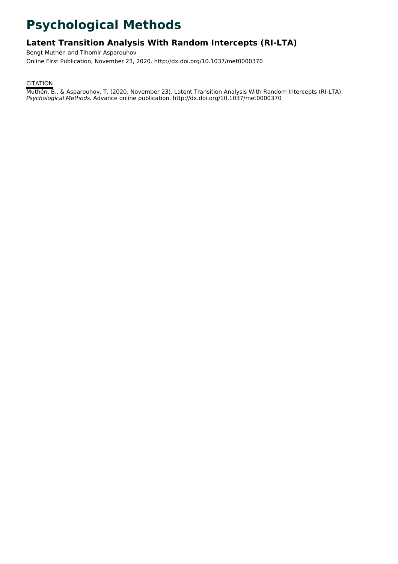# **Psychological Methods**

# **Latent Transition Analysis With Random Intercepts (RI-LTA)**

Bengt Muthén and Tihomir Asparouhov Online First Publication, November 23, 2020. http://dx.doi.org/10.1037/met0000370

**CITATION** 

Muthén, B., & Asparouhov, T. (2020, November 23). Latent Transition Analysis With Random Intercepts (RI-LTA). Psychological Methods. Advance online publication. http://dx.doi.org/10.1037/met0000370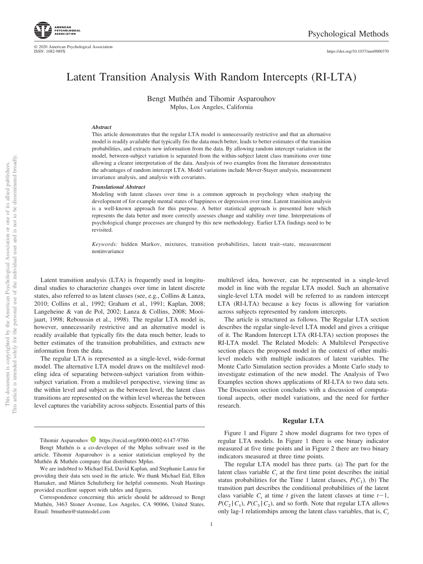

© 2020 American Psychological Association ISSN: 1082-989X

https://doi.org[/10.1037/met0000370](https://doi.org/10.1037/met0000370)

# Latent Transition Analysis With Random Intercepts (RI-LTA)

Bengt Muthén and Tihomir Asparouhov Mplus, Los Angeles, California

#### *Abstract*

This article demonstrates that the regular LTA model is unnecessarily restrictive and that an alternative model is readily available that typically fits the data much better, leads to better estimates of the transition probabilities, and extracts new information from the data. By allowing random intercept variation in the model, between-subject variation is separated from the within-subject latent class transitions over time allowing a clearer interpretation of the data. Analysis of two examples from the literature demonstrates the advantages of random intercept LTA. Model variations include Mover-Stayer analysis, measurement invariance analysis, and analysis with covariates.

#### *Translational Abstract*

Modeling with latent classes over time is a common approach in psychology when studying the development of for example mental states of happiness or depression over time. Latent transition analysis is a well-known approach for this purpose. A better statistical approach is presented here which represents the data better and more correctly assesses change and stability over time. Interpretations of psychological change processes are changed by this new methodology. Earlier LTA findings need to be revisited.

*Keywords:* hidden Markov, mixtures, transition probabilities, latent trait–state, measurement noninvariance

Latent transition analysis (LTA) is frequently used in longitudinal studies to characterize changes over time in latent discrete states, also referred to as latent classes (see, e.g., Collins & Lanza, 2010; Collins et al., 1992; Graham et al., 1991; Kaplan, 2008; Langeheine & van de Pol, 2002; Lanza & Collins, 2008; Mooijaart, 1998; Reboussin et al., 1998). The regular LTA model is, however, unnecessarily restrictive and an alternative model is readily available that typically fits the data much better, leads to better estimates of the transition probabilities, and extracts new information from the data.

The regular LTA is represented as a single-level, wide-format model. The alternative LTA model draws on the multilevel modeling idea of separating between-subject variation from withinsubject variation. From a multilevel perspective, viewing time as the within level and subject as the between level, the latent class transitions are represented on the within level whereas the between level captures the variability across subjects. Essential parts of this

Tihomir Asparouhov  $\blacksquare$  https://orcid.org/0000-0002-6147-9786

Bengt Muthén is a co-developer of the Mplus software used in the article. Tihomir Asparouhov is a senior statistician employed by the Muthén & Muthén company that distributes Mplus.

We are indebted to Michael Eid, David Kaplan, and Stephanie Lanza for providing their data sets used in the article. We thank Michael Eid, Ellen Hamaker, and Mårten Schultzberg for helpful comments. Noah Hastings provided excellent support with tables and figures.

Correspondence concerning this article should be addressed to Bengt Muthén, 3463 Stoner Avenue, Los Angeles, CA 90066, United States. Email: [bmuthen@statmodel.com](mailto:bmuthen@statmodel.com)

multilevel idea, however, can be represented in a single-level model in line with the regular LTA model. Such an alternative single-level LTA model will be referred to as random intercept LTA (RI-LTA) because a key focus is allowing for variation across subjects represented by random intercepts.

The article is structured as follows. The Regular LTA section describes the regular single-level LTA model and gives a critique of it. The Random Intercept LTA (RI-LTA) section proposes the RI-LTA model. The Related Models: A Multilevel Perspective section places the proposed model in the context of other multilevel models with multiple indicators of latent variables. The Monte Carlo Simulation section provides a Monte Carlo study to investigate estimation of the new model. The Analysis of Two Examples section shows applications of RI-LTA to two data sets. The Discussion section concludes with a discussion of computational aspects, other model variations, and the need for further research.

#### **Regular LTA**

Figure 1 and Figure 2 show model diagrams for two types of regular LTA models. In Figure 1 there is one binary indicator measured at five time points and in Figure 2 there are two binary indicators measured at three time points.

The regular LTA model has three parts. (a) The part for the latent class variable  $C<sub>t</sub>$  at the first time point describes the initial status probabilities for the Time 1 latent classes,  $P(C_1)$ . (b) The transition part describes the conditional probabilities of the latent class variable  $C_t$  at time  $t$  given the latent classes at time  $t-1$ ,  $P(C_2 | C_1)$ ,  $P(C_3 | C_2)$ , and so forth. Note that regular LTA allows only lag-1 relationships among the latent class variables, that is,  $C_t$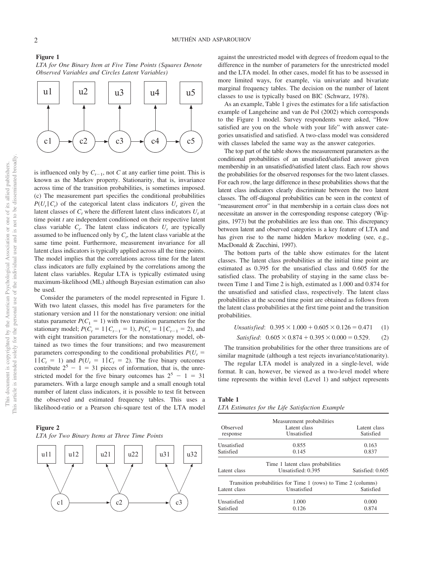*LTA for One Binary Item at Five Time Points (Squares Denote Observed Variables and Circles Latent Variables)*



is influenced only by  $C_{t-1}$ , not *C* at any earlier time point. This is known as the Markov property. Stationarity, that is, invariance across time of the transition probabilities, is sometimes imposed. (c) The measurement part specifies the conditional probabilities  $P(U_t | C_t)$  of the categorical latent class indicators  $U_t$  given the latent classes of  $C_t$  where the different latent class indicators  $U_t$  at time point *t* are independent conditioned on their respective latent class variable  $C_t$ . The latent class indicators  $U_t$  are typically assumed to be influenced only by  $C_t$ , the latent class variable at the same time point. Furthermore, measurement invariance for all latent class indicators is typically applied across all the time points. The model implies that the correlations across time for the latent class indicators are fully explained by the correlations among the latent class variables. Regular LTA is typically estimated using maximum-likelihood (ML) although Bayesian estimation can also be used.

Consider the parameters of the model represented in Figure 1. With two latent classes, this model has five parameters for the stationary version and 11 for the nonstationary version: one initial status parameter  $P(C_1 = 1)$  with two transition parameters for the stationary model;  $P(C_t = 1 | C_{t-1} = 1), P(C_t = 1 | C_{t-1} = 2)$ , and with eight transition parameters for the nonstationary model, obtained as two times the four transitions; and two measurement parameters corresponding to the conditional probabilities  $P(U_t =$  $1 | C_t = 1$  and  $P(U_t = 1 | C_t = 2)$ . The five binary outcomes contribute  $2^5 - 1 = 31$  pieces of information, that is, the unrestricted model for the five binary outcomes has  $2^5 - 1 = 31$ parameters. With a large enough sample and a small enough total number of latent class indicators, it is possible to test fit between the observed and estimated frequency tables. This uses a likelihood-ratio or a Pearson chi-square test of the LTA model

# **Figure 2** *LTA for Two Binary Items at Three Time Points*



against the unrestricted model with degrees of freedom equal to the difference in the number of parameters for the unrestricted model and the LTA model. In other cases, model fit has to be assessed in more limited ways, for example, via univariate and bivariate marginal frequency tables. The decision on the number of latent classes to use is typically based on BIC (Schwarz, 1978).

As an example, Table 1 gives the estimates for a life satisfaction example of Langeheine and van de Pol (2002) which corresponds to the Figure 1 model. Survey respondents were asked, "How satisfied are you on the whole with your life" with answer categories unsatisfied and satisfied. A two-class model was considered with classes labeled the same way as the answer categories.

The top part of the table shows the measurement parameters as the conditional probabilities of an unsatisfied/satisfied answer given membership in an unsatisfied/satisfied latent class. Each row shows the probabilities for the observed responses for the two latent classes. For each row, the large difference in these probabilities shows that the latent class indicators clearly discriminate between the two latent classes. The off-diagonal probabilities can be seen in the context of "measurement error" in that membership in a certain class does not necessitate an answer in the corresponding response category (Wiggins, 1973) but the probabilities are less than one. This discrepancy between latent and observed categories is a key feature of LTA and has given rise to the name hidden Markov modeling (see, e.g., MacDonald & Zucchini, 1997).

The bottom parts of the table show estimates for the latent classes. The latent class probabilities at the initial time point are estimated as 0.395 for the unsatisfied class and 0.605 for the satisfied class. The probability of staying in the same class between Time 1 and Time 2 is high, estimated as 1.000 and 0.874 for the unsatisfied and satisfied class, respectively. The latent class probabilities at the second time point are obtained as follows from the latent class probabilities at the first time point and the transition probabilities.

$$
Unsatisfied: \quad 0.395 \times 1.000 + 0.605 \times 0.126 = 0.471 \quad (1)
$$

*Satisfied*:  $0.605 \times 0.874 + 0.395 \times 0.000 = 0.529.$  (2)

The transition probabilities for the other three transitions are of similar magnitude (although a test rejects invariance/stationarity).

The regular LTA model is analyzed in a single-level, wide format. It can, however, be viewed as a two-level model where time represents the within level (Level 1) and subject represents

| aвı |  |
|-----|--|
|-----|--|

*LTA Estimates for the Life Satisfaction Example*

| Observed<br>response | Measurement probabilities<br>Latent class<br>Unsatisfied       | Latent class<br>Satisfied |
|----------------------|----------------------------------------------------------------|---------------------------|
| Unsatisfied          | 0.855                                                          | 0.163                     |
| Satisfied            | 0.145                                                          | 0.837                     |
|                      | Time 1 latent class probabilities                              |                           |
| Latent class         | Unsatisfied: 0.395                                             | Satisfied: 0.605          |
|                      | Transition probabilities for Time 1 (rows) to Time 2 (columns) |                           |
| Latent class         | Unsatisfied                                                    | Satisfied                 |
| Unsatisfied          | 1.000                                                          | 0.000                     |
| Satisfied            | 0.126                                                          | 0.874                     |

**Figure 1**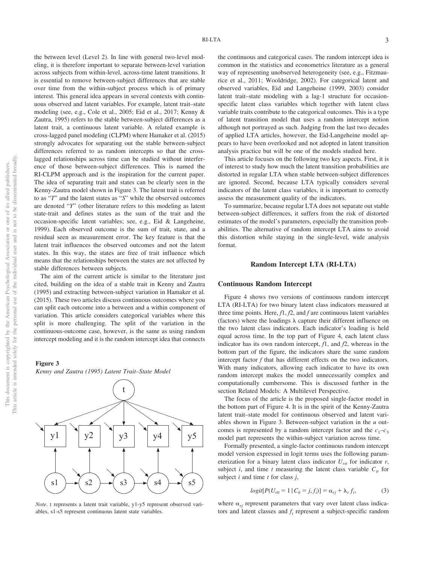RI-LTA 3

the between level (Level 2). In line with general two-level modeling, it is therefore important to separate between-level variation across subjects from within-level, across-time latent transitions. It is essential to remove between-subject differences that are stable over time from the within-subject process which is of primary interest. This general idea appears in several contexts with continuous observed and latent variables. For example, latent trait–state modeling (see, e.g., Cole et al., 2005; Eid et al., 2017; Kenny & Zautra, 1995) refers to the stable between-subject differences as a latent trait, a continuous latent variable. A related example is cross-lagged panel modeling (CLPM) where Hamaker et al. (2015) strongly advocates for separating out the stable between-subject differences referred to as random intercepts so that the crosslagged relationships across time can be studied without interference of those between-subject differences. This is named the RI-CLPM approach and is the inspiration for the current paper. The idea of separating trait and states can be clearly seen in the Kenny-Zautra model shown in Figure 3. The latent trait is referred to as "*T*" and the latent states as "*S*" while the observed outcomes are denoted "*Y*" (other literature refers to this modeling as latent state-trait and defines states as the sum of the trait and the occasion-specific latent variables; see, e.g., Eid & Langeheine, 1999). Each observed outcome is the sum of trait, state, and a residual seen as measurement error. The key feature is that the latent trait influences the observed outcomes and not the latent states. In this way, the states are free of trait influence which means that the relationships between the states are not affected by stable differences between subjects.

The aim of the current article is similar to the literature just cited, building on the idea of a stable trait in Kenny and Zautra (1995) and extracting between-subject variation in Hamaker et al. (2015). These two articles discuss continuous outcomes where you can split each outcome into a between and a within component of variation. This article considers categorical variables where this split is more challenging. The split of the variation in the continuous-outcome case, however, is the same as using random intercept modeling and it is the random intercept idea that connects

#### **Figure 3**





t

*Note*. t represents a latent trait variable, y1-y5 represent observed variables, s1-s5 represent continuous latent state variables.

the continuous and categorical cases. The random intercept idea is common in the statistics and econometrics literature as a general way of representing unobserved heterogeneity (see, e.g., Fitzmaurice et al., 2011; Wooldridge, 2002). For categorical latent and observed variables, Eid and Langeheine (1999, 2003) consider latent trait–state modeling with a lag-1 structure for occasionspecific latent class variables which together with latent class variable traits contribute to the categorical outcomes. This is a type of latent transition model that uses a random intercept notion although not portrayed as such. Judging from the last two decades of applied LTA articles, however, the Eid-Langeheine model appears to have been overlooked and not adopted in latent transition analysis practice but will be one of the models studied here.

This article focuses on the following two key aspects. First, it is of interest to study how much the latent transition probabilities are distorted in regular LTA when stable between-subject differences are ignored. Second, because LTA typically considers several indicators of the latent class variables, it is important to correctly assess the measurement quality of the indicators.

To summarize, because regular LTA does not separate out stable between-subject differences, it suffers from the risk of distorted estimates of the model's parameters, especially the transition probabilities. The alternative of random intercept LTA aims to avoid this distortion while staying in the single-level, wide analysis format.

# **Random Intercept LTA (RI-LTA)**

# **Continuous Random Intercept**

Figure 4 shows two versions of continuous random intercept LTA (RI-LTA) for two binary latent class indicators measured at three time points. Here, *f*1, *f*2, and *f* are continuous latent variables (factors) where the loadings  $\lambda$  capture their different influence on the two latent class indicators. Each indicator's loading is held equal across time. In the top part of Figure 4, each latent class indicator has its own random intercept, *f*1, and *f*2, whereas in the bottom part of the figure, the indicators share the same random intercept factor *f* that has different effects on the two indicators. With many indicators, allowing each indicator to have its own random intercept makes the model unnecessarily complex and computationally cumbersome. This is discussed further in the section Related Models: A Multilevel Perspective.

The focus of the article is the proposed single-factor model in the bottom part of Figure 4. It is in the spirit of the Kenny-Zautra latent trait–state model for continuous observed and latent variables shown in Figure 3. Between-subject variation in the *u* outcomes is represented by a random intercept factor and the  $c_1-c_3$ model part represents the within-subject variation across time.

Formally presented, a single-factor continuous random intercept model version expressed in logit terms uses the following parameterization for a binary latent class indicator  $U_{rit}$  for indicator  $r$ , subject *i*, and time *t* measuring the latent class variable  $C_i$  for subject *i* and time *t* for class *j*,

$$
logit[P(U_{rit} = 1 | C_{it} = j, f_i)] = \alpha_{rj} + \lambda_r f_i,
$$
 (3)

<span id="page-3-0"></span>where  $\alpha_{ri}$  represent parameters that vary over latent class indicators and latent classes and *fi* represent a subject-specific random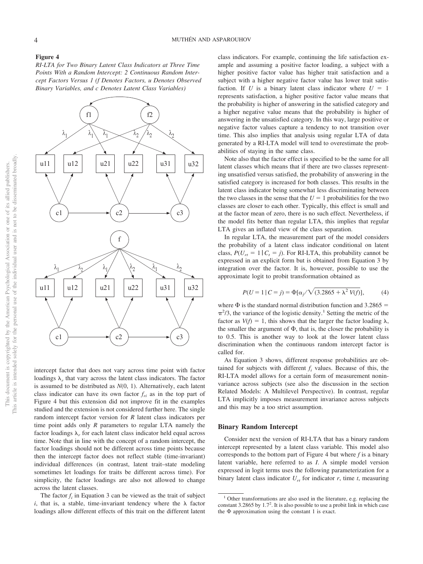#### **Figure 4**

*RI-LTA for Two Binary Latent Class Indicators at Three Time Points With a Random Intercept: 2 Continuous Random Intercept Factors Versus 1 (f Denotes Factors, u Denotes Observed Binary Variables, and c Denotes Latent Class Variables)*



intercept factor that does not vary across time point with factor loadings  $\lambda_r$  that vary across the latent class indicators. The factor is assumed to be distributed as *N*(0, 1). Alternatively, each latent class indicator can have its own factor  $f_{ri}$  as in the top part of Figure 4 but this extension did not improve fit in the examples studied and the extension is not considered further here. The single random intercept factor version for *R* latent class indicators per time point adds only *R* parameters to regular LTA namely the factor loadings  $\lambda_r$  for each latent class indicator held equal across time. Note that in line with the concept of a random intercept, the factor loadings should not be different across time points because then the intercept factor does not reflect stable (time-invariant) individual differences (in contrast, latent trait–state modeling sometimes let loadings for traits be different across time). For simplicity, the factor loadings are also not allowed to change across the latent classes.

The factor  $f_i$  in [Equation 3](#page-3-0) can be viewed as the trait of subject  $i$ , that is, a stable, time-invariant tendency where the  $\lambda$  factor loadings allow different effects of this trait on the different latent class indicators. For example, continuing the life satisfaction example and assuming a positive factor loading, a subject with a higher positive factor value has higher trait satisfaction and a subject with a higher negative factor value has lower trait satisfaction. If *U* is a binary latent class indicator where  $U = 1$ represents satisfaction, a higher positive factor value means that the probability is higher of answering in the satisfied category and a higher negative value means that the probability is higher of answering in the unsatisfied category. In this way, large positive or negative factor values capture a tendency to not transition over time. This also implies that analysis using regular LTA of data generated by a RI-LTA model will tend to overestimate the probabilities of staying in the same class.

Note also that the factor effect is specified to be the same for all latent classes which means that if there are two classes representing unsatisfied versus satisfied, the probability of answering in the satisfied category is increased for both classes. This results in the latent class indicator being somewhat less discriminating between the two classes in the sense that the  $U = 1$  probabilities for the two classes are closer to each other. Typically, this effect is small and at the factor mean of zero, there is no such effect. Nevertheless, if the model fits better than regular LTA, this implies that regular LTA gives an inflated view of the class separation.

In regular LTA, the measurement part of the model considers the probability of a latent class indicator conditional on latent class,  $P(U_{rt} = 1 | C_t = j)$ . For RI-LTA, this probability cannot be expressed in an explicit form but is obtained from [Equation 3](#page-3-0) by integration over the factor. It is, however, possible to use the approximate logit to probit transformation obtained as

$$
P(U = 1 | C = j) = \Phi[\alpha_j / \sqrt{(3.2865 + \lambda^2 V(f))}, \quad (4)
$$

where  $\Phi$  is the standard normal distribution function and 3.2865 =  $\pi^2/3$ , the variance of the logistic density.<sup>1</sup> Setting the metric of the factor as  $V(f) = 1$ , this shows that the larger the factor loading  $\lambda$ , the smaller the argument of  $\Phi$ , that is, the closer the probability is to 0.5. This is another way to look at the lower latent class discrimination when the continuous random intercept factor is called for.

As [Equation 3](#page-3-0) shows, different response probabilities are obtained for subjects with different  $f_i$  values. Because of this, the RI-LTA model allows for a certain form of measurement noninvariance across subjects (see also the discussion in the section Related Models: A Multilevel Perspective). In contrast, regular LTA implicitly imposes measurement invariance across subjects and this may be a too strict assumption.

# **Binary Random Intercept**

Consider next the version of RI-LTA that has a binary random intercept represented by a latent class variable. This model also corresponds to the bottom part of Figure 4 but where *f* is a binary latent variable, here referred to as *I*. A simple model version expressed in logit terms uses the following parameterization for a binary latent class indicator  $U_{rt}$  for indicator  $r$ , time  $t$ , measuring

<sup>&</sup>lt;sup>1</sup> Other transformations are also used in the literature, e.g. replacing the constant 3.2865 by  $1.7<sup>2</sup>$ . It is also possible to use a probit link in which case the  $\Phi$  approximation using the constant 1 is exact.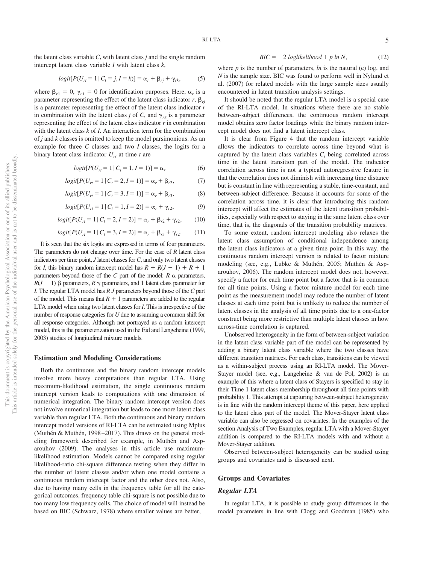the latent class variable  $C<sub>t</sub>$  with latent class *j* and the single random intercept latent class variable *I* with latent class *k*,

$$
logit[P(U_{rt} = 1 | C_t = j, I = k)] = \alpha_r + \beta_{rj} + \gamma_{rk},
$$
 (5)

where  $\beta_{r1} = 0$ ,  $\gamma_{r1} = 0$  for identification purposes. Here,  $\alpha_r$  is a parameter representing the effect of the latent class indicator  $r$ ,  $\beta_{ri}$ is a parameter representing the effect of the latent class indicator *r* in combination with the latent class *j* of *C*, and  $\gamma_{rk}$  is a parameter representing the effect of the latent class indicator *r* in combination with the latent class *k* of *I*. An interaction term for the combination of *j* and *k* classes is omitted to keep the model parsimonious. As an example for three *C* classes and two *I* classes, the logits for a binary latent class indicator  $U_{rt}$  at time *t* are

$$
logit[P(Urt = 1 | Ct = 1, I = 1)] = \alphar
$$
 (6)

$$
logit[P(U_{rt} = 1 | C_t = 2, I = 1)] = \alpha_r + \beta_{r2},
$$
 (7)

$$
logit[P(Urt = 1 | Ct = 3, I = 1)] = \alphar + \betar3,
$$
 (8)

$$
logit[P(Urt = 1 | Ct = 1, I = 2)] = \alphar + \gammar2,
$$
 (9)

$$
logit[P(Urt = 1 | Ct = 2, I = 2)] = \alpha_r + \beta_{r2} + \gamma_{r2},
$$
 (10)

$$
logit[P(U_{rt} = 1 | C_t = 3, I = 2)] = \alpha_r + \beta_{r3} + \gamma_{r2}.
$$
 (11)

It is seen that the six logits are expressed in terms of four parameters. The parameters do not change over time. For the case of *R* latent class indicators per time point, *J* latent classes for*C*, and only two latent classes for *I*, this binary random intercept model has  $R + R(J - 1) + R + 1$ parameters beyond those of the *C* part of the model:  $R \alpha$  parameters,  $R(J-1)$   $\beta$  parameters,  $R \gamma$  parameters, and 1 latent class parameter for *I*. The regular LTA model has *R J* parameters beyond those of the *C* part of the model. This means that  $R + 1$  parameters are added to the regular LTA model when using two latent classes for *I*. This is irrespective of the number of response categories for *U* due to assuming a common shift for all response categories. Although not portrayed as a random intercept model, this is the parameterization used in the Eid and Langeheine (1999, 2003) studies of longitudinal mixture models.

#### **Estimation and Modeling Considerations**

Both the continuous and the binary random intercept models involve more heavy computations than regular LTA. Using maximum-likelihood estimation, the single continuous random intercept version leads to computations with one dimension of numerical integration. The binary random intercept version does not involve numerical integration but leads to one more latent class variable than regular LTA. Both the continuous and binary random intercept model versions of RI-LTA can be estimated using Mplus (Muthén & Muthén, 1998–2017). This draws on the general modeling framework described for example, in Muthén and Asparouhov (2009). The analyses in this article use maximumlikelihood estimation. Models cannot be compared using regular likelihood-ratio chi-square difference testing when they differ in the number of latent classes and/or when one model contains a continuous random intercept factor and the other does not. Also, due to having many cells in the frequency table for all the categorical outcomes, frequency table chi-square is not possible due to too many low frequency cells. The choice of model will instead be based on BIC (Schwarz, 1978) where smaller values are better,

$$
BIC = -2\ log likelihood + p \ln N,
$$
 (12)

where  $p$  is the number of parameters,  $\ln$  is the natural (e) log, and *N* is the sample size. BIC was found to perform well in Nylund et al. (2007) for related models with the large sample sizes usually encountered in latent transition analysis settings.

It should be noted that the regular LTA model is a special case of the RI-LTA model. In situations where there are no stable between-subject differences, the continuous random intercept model obtains zero factor loadings while the binary random intercept model does not find a latent intercept class.

It is clear from Figure 4 that the random intercept variable allows the indicators to correlate across time beyond what is captured by the latent class variables  $C<sub>t</sub>$  being correlated across time in the latent transition part of the model. The indicator correlation across time is not a typical autoregressive feature in that the correlation does not diminish with increasing time distance but is constant in line with representing a stable, time-constant, and between-subject difference. Because it accounts for some of the correlation across time, it is clear that introducing this random intercept will affect the estimates of the latent transition probabilities, especially with respect to staying in the same latent class over time, that is, the diagonals of the transition probability matrices.

To some extent, random intercept modeling also relaxes the latent class assumption of conditional independence among the latent class indicators at a given time point. In this way, the continuous random intercept version is related to factor mixture modeling (see, e.g., Lubke & Muthén, 2005; Muthén & Asparouhov, 2006). The random intercept model does not, however, specify a factor for each time point but a factor that is in common for all time points. Using a factor mixture model for each time point as the measurement model may reduce the number of latent classes at each time point but is unlikely to reduce the number of latent classes in the analysis of all time points due to a one-factor construct being more restrictive than multiple latent classes in how across-time correlation is captured.

Unobserved heterogeneity in the form of between-subject variation in the latent class variable part of the model can be represented by adding a binary latent class variable where the two classes have different transition matrices. For each class, transitions can be viewed as a within-subject process using an RI-LTA model. The Mover-Stayer model (see, e.g., Langeheine & van de Pol, 2002) is an example of this where a latent class of Stayers is specified to stay in their Time 1 latent class membership throughout all time points with probability 1. This attempt at capturing between-subject heterogeneity is in line with the random intercept theme of this paper, here applied to the latent class part of the model. The Mover-Stayer latent class variable can also be regressed on covariates. In the examples of the section Analysis of Two Examples, regular LTA with a Mover-Stayer addition is compared to the RI-LTA models with and without a Mover-Stayer addition.

Observed between-subject heterogeneity can be studied using groups and covariates and is discussed next.

# **Groups and Covariates**

#### *Regular LTA*

In regular LTA, it is possible to study group differences in the model parameters in line with Clogg and Goodman (1985) who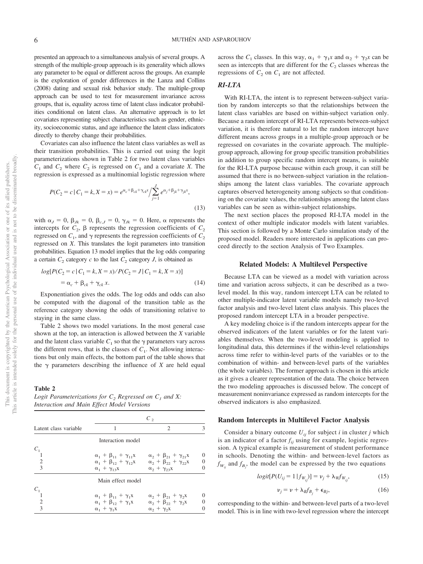presented an approach to a simultaneous analysis of several groups. A strength of the multiple-group approach is its generality which allows any parameter to be equal or different across the groups. An example is the exploration of gender differences in the Lanza and Collins (2008) dating and sexual risk behavior study. The multiple-group approach can be used to test for measurement invariance across groups, that is, equality across time of latent class indicator probabilities conditional on latent class. An alternative approach is to let covariates representing subject characteristics such as gender, ethnicity, socioeconomic status, and age influence the latent class indicators directly to thereby change their probabilities.

Covariates can also influence the latent class variables as well as their transition probabilities. This is carried out using the logit parameterizations shown in Table 2 for two latent class variables  $C_1$  and  $C_2$  where  $C_2$  is regressed on  $C_1$  and a covariate *X*. The regression is expressed as a multinomial logistic regression where

$$
P(C_2 = c \mid C_1 = k, X = x) = e^{\alpha_c + \beta_{ck} + \gamma_{ck}x} / \sum_{j=1}^{J} e^{\alpha_j + \beta_{jk} + \gamma_{jk}x},
$$
\n(13)

with  $\alpha_J = 0$ ,  $\beta_{Jk} = 0$ ,  $\beta_{c,J} = 0$ ,  $\gamma_{Jk} = 0$ . Here,  $\alpha$  represents the intercepts for  $C_2$ ,  $\beta$  represents the regression coefficients of  $C_2$ regressed on  $C_1$ , and  $\gamma$  represents the regression coefficients of  $C_2$ regressed on *X*. This translates the logit parameters into transition probabilities. Equation 13 model implies that the log odds comparing a certain  $C_2$  category  $c$  to the last  $C_2$  category  $J$ , is obtained as

$$
log[P(C_2 = c | C_1 = k, X = x) / P(C_2 = J | C_1 = k, X = x)]
$$
  
=  $\alpha_c + \beta_{ck} + \gamma_{ck} x.$  (14)

Exponentiation gives the odds. The log odds and odds can also be computed with the diagonal of the transition table as the reference category showing the odds of transitioning relative to staying in the same class.

Table 2 shows two model variations. In the most general case shown at the top, an interaction is allowed between the *X* variable and the latent class variable  $C_1$  so that the  $\gamma$  parameters vary across the different rows, that is the classes of  $C_1$ . Not allowing interactions but only main effects, the bottom part of the table shows that the  $\gamma$  parameters describing the influence of *X* are held equal

#### **Table 2**

*Logit Parameterizations for*  $C_2$  *Regressed on*  $C_1$  *and* X: *Interaction and Main Effect Model Versions*

|                       | $C_{2}$                                |                                        |  |  |
|-----------------------|----------------------------------------|----------------------------------------|--|--|
| Latent class variable |                                        | $\mathfrak{D}$                         |  |  |
|                       | Interaction model                      |                                        |  |  |
| $C_1$                 |                                        |                                        |  |  |
|                       | $\alpha_1 + \beta_{11} + \gamma_{11}x$ | $\alpha_2 + \beta_{21} + \gamma_{21}x$ |  |  |
| $\overline{2}$        | $\alpha_1 + \beta_{12} + \gamma_{12}X$ | $\alpha_2 + \beta_{22} + \gamma_{22}x$ |  |  |
| $\mathcal{R}$         | $\alpha_1 + \gamma_{13}x$              | $\alpha_2 + \gamma_{23}x$              |  |  |
|                       | Main effect model                      |                                        |  |  |
| $C_1$                 |                                        |                                        |  |  |
|                       | $\alpha_1 + \beta_{11} + \gamma_1 x$   | $\alpha_2 + \beta_{21} + \gamma_2$     |  |  |
| $\mathfrak{D}$        | $\alpha_1 + \beta_{12} + \gamma_1 X$   | $\alpha_2 + \beta_{22} + \gamma_2$     |  |  |
| 3                     | $\alpha_1 + \gamma_1 x$                | $\alpha_2 + \gamma_2$ x                |  |  |

across the  $C_1$  classes. In this way,  $\alpha_1 + \gamma_1 x$  and  $\alpha_2 + \gamma_2 x$  can be seen as intercepts that are different for the  $C_2$  classes whereas the regressions of  $C_2$  on  $C_1$  are not affected.

#### *RI-LTA*

With RI-LTA, the intent is to represent between-subject variation by random intercepts so that the relationships between the latent class variables are based on within-subject variation only. Because a random intercept of RI-LTA represents between-subject variation, it is therefore natural to let the random intercept have different means across groups in a multiple-group approach or be regressed on covariates in the covariate approach. The multiplegroup approach, allowing for group specific transition probabilities in addition to group specific random intercept means, is suitable for the RI-LTA purpose because within each group, it can still be assumed that there is no between-subject variation in the relationships among the latent class variables. The covariate approach captures observed heterogeneity among subjects so that conditioning on the covariate values, the relationships among the latent class variables can be seen as within-subject relationships.

The next section places the proposed RI-LTA model in the context of other multiple indicator models with latent variables. This section is followed by a Monte Carlo simulation study of the proposed model. Readers more interested in applications can proceed directly to the section Analysis of Two Examples.

#### **Related Models: A Multilevel Perspective**

Because LTA can be viewed as a model with variation across time and variation across subjects, it can be described as a twolevel model. In this way, random intercept LTA can be related to other multiple-indicator latent variable models namely two-level factor analysis and two-level latent class analysis. This places the proposed random intercept LTA in a broader perspective.

A key modeling choice is if the random intercepts appear for the observed indicators of the latent variables or for the latent variables themselves. When the two-level modeling is applied to longitudinal data, this determines if the within-level relationships across time refer to within-level parts of the variables or to the combination of within- and between-level parts of the variables (the whole variables). The former approach is chosen in this article as it gives a clearer representation of the data. The choice between the two modeling approaches is discussed below. The concept of measurement noninvariance expressed as random intercepts for the observed indicators is also emphasized.

#### **Random Intercepts in Multilevel Factor Analysis**

Consider a binary outcome  $U_{ij}$  for subject *i* in cluster *j* which is an indicator of a factor  $f_{ij}$  using for example, logistic regression. A typical example is measurement of student performance in schools. Denoting the within- and between-level factors as  $f_{W_{ij}}$  and  $f_{B_j}$ , the model can be expressed by the two equations

$$
logit[P(U_{ij} = 1 | f_{W_{ij}})] = v_j + \lambda_W f_{W_{ij}},
$$
\n(15)

$$
\nu_j = \nu + \lambda_B f_{B_j} + \epsilon_{Bj},\tag{16}
$$

<span id="page-6-0"></span>corresponding to the within- and between-level parts of a two-level model. This is in line with two-level regression where the intercept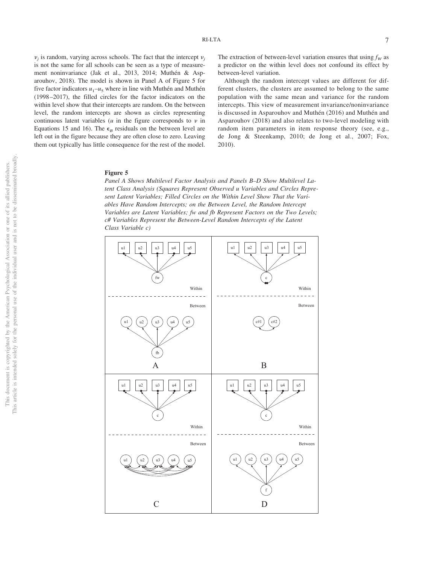$v_i$  is random, varying across schools. The fact that the intercept  $v_i$ is not the same for all schools can be seen as a type of measurement noninvariance (Jak et al., 2013, 2014; Muthén & Asparouhov, 2018). The model is shown in Panel A of Figure 5 for five factor indicators  $u_1 - u_5$  where in line with Muthén and Muthén (1998–2017), the filled circles for the factor indicators on the within level show that their intercepts are random. On the between level, the random intercepts are shown as circles representing continuous latent variables  $(u$  in the figure corresponds to  $v$  in [Equations 15](#page-6-0) and 16). The  $\epsilon_B$  residuals on the between level are left out in the figure because they are often close to zero. Leaving them out typically has little consequence for the rest of the model.

The extraction of between-level variation ensures that using  $f_W$  as a predictor on the within level does not confound its effect by between-level variation.

Although the random intercept values are different for different clusters, the clusters are assumed to belong to the same population with the same mean and variance for the random intercepts. This view of measurement invariance/noninvariance is discussed in Asparouhov and Muthén (2016) and Muthén and Asparouhov (2018) and also relates to two-level modeling with random item parameters in item response theory (see, e.g., de Jong & Steenkamp, 2010; de Jong et al., 2007; Fox, 2010).

# **Figure 5**

*Panel A Shows Multilevel Factor Analysis and Panels B–D Show Multilevel Latent Class Analysis (Squares Represent Observed u Variables and Circles Represent Latent Variables; Filled Circles on the Within Level Show That the Variables Have Random Intercepts; on the Between Level, the Random Intercept Variables are Latent Variables; fw and fb Represent Factors on the Two Levels; c# Variables Represent the Between-Level Random Intercepts of the Latent Class Variable c)*

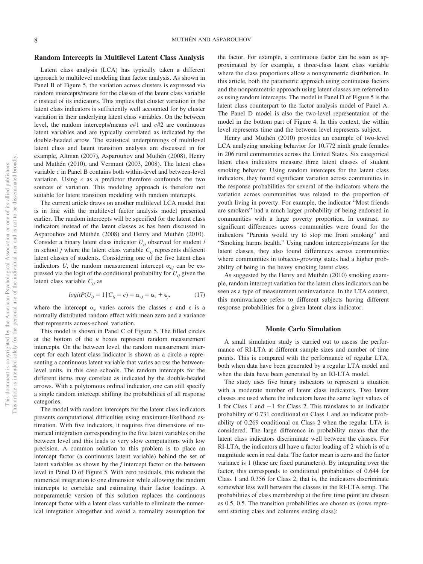# **Random Intercepts in Multilevel Latent Class Analysis**

Latent class analysis (LCA) has typically taken a different approach to multilevel modeling than factor analysis. As shown in Panel B of Figure 5, the variation across clusters is expressed via random intercepts/means for the classes of the latent class variable *c* instead of its indicators. This implies that cluster variation in the latent class indicators is sufficiently well accounted for by cluster variation in their underlying latent class variables. On the between level, the random intercepts/means *c*#1 and *c*#2 are continuous latent variables and are typically correlated as indicated by the double-headed arrow. The statistical underpinnings of multilevel latent class and latent transition analysis are discussed in for example, Altman (2007), Asparouhov and Muthén (2008), Henry and Muthén (2010), and Vermunt (2003, 2008). The latent class variable *c* in Panel B contains both within-level and between-level variation. Using *c* as a predictor therefore confounds the two sources of variation. This modeling approach is therefore not suitable for latent transition modeling with random intercepts.

The current article draws on another multilevel LCA model that is in line with the multilevel factor analysis model presented earlier. The random intercepts will be specified for the latent class indicators instead of the latent classes as has been discussed in Asparouhov and Muthén (2008) and Henry and Muthén (2010). Consider a binary latent class indicator  $U_{ii}$  observed for student *i* in school *j* where the latent class variable  $C_{ij}$  represents different latent classes of students. Considering one of the five latent class indicators *U*, the random measurement intercept  $\alpha_{ci}$  can be expressed via the logit of the conditional probability for  $U_{ij}$  given the latent class variable  $C_{ii}$  as

$$
logitP(U_{ij} = 1 | C_{ij} = c) = \alpha_{cj} = \alpha_c + \epsilon_j,
$$
\n(17)

where the intercept  $\alpha_c$  varies across the classes c and  $\epsilon$  is a normally distributed random effect with mean zero and a variance that represents across-school variation.

This model is shown in Panel C of Figure 5. The filled circles at the bottom of the *u* boxes represent random measurement intercepts. On the between level, the random measurement intercept for each latent class indicator is shown as a circle *u* representing a continuous latent variable that varies across the betweenlevel units, in this case schools. The random intercepts for the different items may correlate as indicated by the double-headed arrows. With a polytomous ordinal indicator, one can still specify a single random intercept shifting the probabilities of all response categories.

The model with random intercepts for the latent class indicators presents computational difficulties using maximum-likelihood estimation. With five indicators, it requires five dimensions of numerical integration corresponding to the five latent variables on the between level and this leads to very slow computations with low precision. A common solution to this problem is to place an intercept factor (a continuous latent variable) behind the set of latent variables as shown by the *f* intercept factor on the between level in Panel D of Figure 5. With zero residuals, this reduces the numerical integration to one dimension while allowing the random intercepts to correlate and estimating their factor loadings. A nonparametric version of this solution replaces the continuous intercept factor with a latent class variable to eliminate the numerical integration altogether and avoid a normality assumption for the factor. For example, a continuous factor can be seen as approximated by for example, a three-class latent class variable where the class proportions allow a nonsymmetric distribution. In this article, both the parametric approach using continuous factors and the nonparametric approach using latent classes are referred to as using random intercepts. The model in Panel D of Figure 5 is the latent class counterpart to the factor analysis model of Panel A. The Panel D model is also the two-level representation of the model in the bottom part of Figure 4. In this context, the within level represents time and the between level represents subject.

Henry and Muthén (2010) provides an example of two-level LCA analyzing smoking behavior for 10,772 ninth grade females in 206 rural communities across the United States. Six categorical latent class indicators measure three latent classes of student smoking behavior. Using random intercepts for the latent class indicators, they found significant variation across communities in the response probabilities for several of the indicators where the variation across communities was related to the proportion of youth living in poverty. For example, the indicator "Most friends are smokers" had a much larger probability of being endorsed in communities with a large poverty proportion. In contrast, no significant differences across communities were found for the indicators "Parents would try to stop me from smoking" and "Smoking harms health." Using random intercepts/means for the latent classes, they also found differences across communities where communities in tobacco-growing states had a higher probability of being in the heavy smoking latent class.

As suggested by the Henry and Muthén (2010) smoking example, random intercept variation for the latent class indicators can be seen as a type of measurement noninvariance. In the LTA context, this noninvariance refers to different subjects having different response probabilities for a given latent class indicator.

# **Monte Carlo Simulation**

A small simulation study is carried out to assess the performance of RI-LTA at different sample sizes and number of time points. This is compared with the performance of regular LTA, both when data have been generated by a regular LTA model and when the data have been generated by an RI-LTA model.

The study uses five binary indicators to represent a situation with a moderate number of latent class indicators. Two latent classes are used where the indicators have the same logit values of 1 for Class 1 and -1 for Class 2. This translates to an indicator probability of 0.731 conditional on Class 1 and an indicator probability of 0.269 conditional on Class 2 when the regular LTA is considered. The large difference in probability means that the latent class indicators discriminate well between the classes. For RI-LTA, the indicators all have a factor loading of 2 which is of a magnitude seen in real data. The factor mean is zero and the factor variance is 1 (these are fixed parameters). By integrating over the factor, this corresponds to conditional probabilities of 0.644 for Class 1 and 0.356 for Class 2, that is, the indicators discriminate somewhat less well between the classes in the RI-LTA setup. The probabilities of class membership at the first time point are chosen as 0.5, 0.5. The transition probabilities are chosen as (rows represent starting class and columns ending class):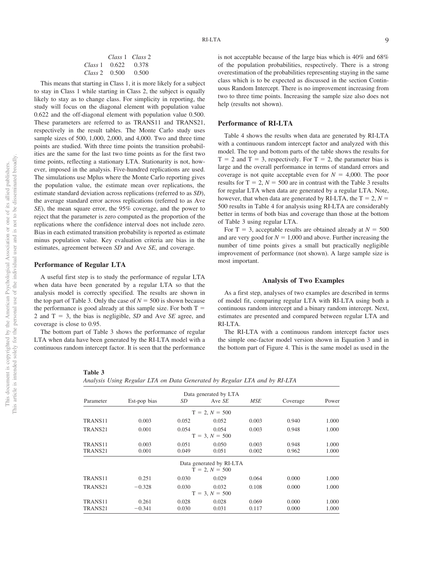|               |                       | Class 1 Class 2 |
|---------------|-----------------------|-----------------|
|               | Class 1 $0.622$ 0.378 |                 |
| Class 2 0.500 |                       | 0.500           |

This means that starting in Class 1, it is more likely for a subject to stay in Class 1 while starting in Class 2, the subject is equally likely to stay as to change class. For simplicity in reporting, the study will focus on the diagonal element with population value 0.622 and the off-diagonal element with population value 0.500. These parameters are referred to as TRANS11 and TRANS21, respectively in the result tables. The Monte Carlo study uses sample sizes of 500, 1,000, 2,000, and 4,000. Two and three time points are studied. With three time points the transition probabilities are the same for the last two time points as for the first two time points, reflecting a stationary LTA. Stationarity is not, however, imposed in the analysis. Five-hundred replications are used. The simulations use Mplus where the Monte Carlo reporting gives the population value, the estimate mean over replications, the estimate standard deviation across replications (referred to as *SD*), the average standard error across replications (referred to as Ave *SE*), the mean square error, the 95% coverage, and the power to reject that the parameter is zero computed as the proportion of the replications where the confidence interval does not include zero. Bias in each estimated transition probability is reported as estimate minus population value. Key evaluation criteria are bias in the estimates, agreement between *SD* and Ave *SE*, and coverage.

#### **Performance of Regular LTA**

A useful first step is to study the performance of regular LTA when data have been generated by a regular LTA so that the analysis model is correctly specified. The results are shown in the top part of Table 3. Only the case of  $N = 500$  is shown because the performance is good already at this sample size. For both  $T =$ 2 and  $T = 3$ , the bias is negligible, *SD* and Ave *SE* agree, and coverage is close to 0.95.

The bottom part of Table 3 shows the performance of regular LTA when data have been generated by the RI-LTA model with a continuous random intercept factor. It is seen that the performance

 $TRANS21$   $-0.328$ 

 $TR ANS21 -0341$ 

overestimation of the probabilities representing staying in the same class which is to be expected as discussed in the section Continuous Random Intercept. There is no improvement increasing from two to three time points. Increasing the sample size also does not help (results not shown).

#### **Performance of RI-LTA**

Table 4 shows the results when data are generated by RI-LTA with a continuous random intercept factor and analyzed with this model. The top and bottom parts of the table shows the results for  $T = 2$  and  $T = 3$ , respectively. For  $T = 2$ , the parameter bias is large and the overall performance in terms of standard errors and coverage is not quite acceptable even for  $N = 4,000$ . The poor results for  $T = 2$ ,  $N = 500$  are in contrast with the Table 3 results for regular LTA when data are generated by a regular LTA. Note, however, that when data are generated by RI-LTA, the  $T = 2$ ,  $N =$ 500 results in Table 4 for analysis using RI-LTA are considerably better in terms of both bias and coverage than those at the bottom of Table 3 using regular LTA.

For  $T = 3$ , acceptable results are obtained already at  $N = 500$ and are very good for  $N = 1,000$  and above. Further increasing the number of time points gives a small but practically negligible improvement of performance (not shown). A large sample size is most important.

# **Analysis of Two Examples**

As a first step, analyses of two examples are described in terms of model fit, comparing regular LTA with RI-LTA using both a continuous random intercept and a binary random intercept. Next, estimates are presented and compared between regular LTA and RI-LTA.

The RI-LTA with a continuous random intercept factor uses the simple one-factor model version shown in [Equation 3](#page-3-0) and in the bottom part of Figure 4. This is the same model as used in the

**Table 3**

|           |              |       | Data generated by LTA |            |          |       |
|-----------|--------------|-------|-----------------------|------------|----------|-------|
| Parameter | Est-pop bias | SD    | Ave SE                | <b>MSE</b> | Coverage | Power |
|           |              |       | $T = 2, N = 500$      |            |          |       |
| TRANS11   | 0.003        | 0.052 | 0.052                 | 0.003      | 0.940    | 1.000 |
| TRANS21   | 0.001        | 0.054 | 0.054                 | 0.003      | 0.948    | 1.000 |
|           |              |       | $T = 3, N = 500$      |            |          |       |
| TRANS11   | 0.003        | 0.051 | 0.050                 | 0.003      | 0.948    | 1.000 |
| TRANS21   | 0.001        | 0.049 | 0.051                 | 0.002      | 0.962    | 1.000 |

Data generated by RI-LTA  $\overline{T} = 2, N = 500$ TRANS11 0.251 0.030 0.029 0.064 0.000 1.000

 $T = 3, N = 500$ TRANS11 0.261 0.028 0.028 0.069 0.000 1.000

0.328 0.030 0.032 0.108 0.000 1.000

0.341 0.030 0.031 0.117 0.000 1.000

*Analysis Using Regular LTA on Data Generated by Regular LTA and by RI-LTA*

not to be disseminated broadly one of its allied publishers.

 $\overleftarrow{\mathrm{O}}$ .g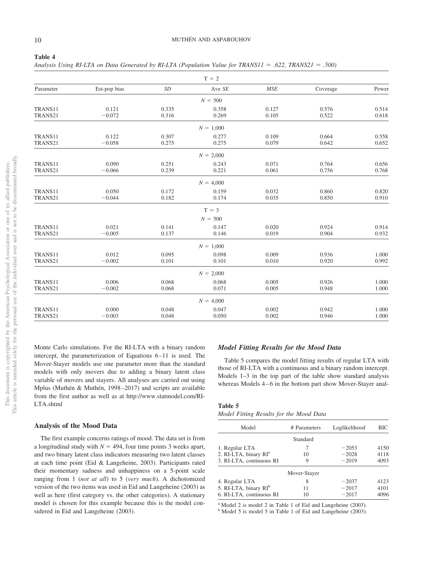| ۰.<br>۰,<br>۰.<br>۰,<br>v<br>× |  |  |  |
|--------------------------------|--|--|--|
|--------------------------------|--|--|--|

*Analysis Using RI-LTA on Data Generated by RI-LTA (Population Value for TRANS11 .622, TRANS21 .500)*

|           |              |       | $T = 2$     |       |          |       |
|-----------|--------------|-------|-------------|-------|----------|-------|
| Parameter | Est-pop bias | SD    | Ave SE      | MSE   | Coverage | Power |
|           |              |       | $N = 500$   |       |          |       |
| TRANS11   | 0.121        | 0.335 | 0.358       | 0.127 | 0.576    | 0.514 |
| TRANS21   | $-0.072$     | 0.316 | 0.269       | 0.105 | 0.522    | 0.618 |
|           |              |       | $N = 1,000$ |       |          |       |
| TRANS11   | 0.122        | 0.307 | 0.277       | 0.109 | 0.664    | 0.558 |
| TRANS21   | $-0.058$     | 0.275 | 0.275       | 0.079 | 0.642    | 0.652 |
|           |              |       | $N = 2,000$ |       |          |       |
| TRANS11   | 0.090        | 0.251 | 0.243       | 0.071 | 0.764    | 0.656 |
| TRANS21   | $-0.066$     | 0.239 | 0.221       | 0.061 | 0.756    | 0.768 |
|           |              |       | $N = 4,000$ |       |          |       |
| TRANS11   | 0.050        | 0.172 | 0.159       | 0.032 | 0.860    | 0.820 |
| TRANS21   | $-0.044$     | 0.182 | 0.174       | 0.035 | 0.850    | 0.910 |
|           |              |       | $T = 3$     |       |          |       |
|           |              |       | $N = 500$   |       |          |       |
| TRANS11   | 0.021        | 0.141 | 0.147       | 0.020 | 0.924    | 0.914 |
| TRANS21   | $-0.005$     | 0.137 | 0.146       | 0.019 | 0.904    | 0.932 |
|           |              |       | $N = 1,000$ |       |          |       |
| TRANS11   | 0.012        | 0.095 | 0.098       | 0.009 | 0.936    | 1.000 |
| TRANS21   | $-0.002$     | 0.101 | 0.101       | 0.010 | 0.920    | 0.992 |
|           |              |       | $N = 2,000$ |       |          |       |
| TRANS11   | 0.006        | 0.068 | 0.068       | 0.005 | 0.926    | 1.000 |
| TRANS21   | $-0.002$     | 0.068 | 0.071       | 0.005 | 0.948    | 1.000 |
|           |              |       | $N = 4,000$ |       |          |       |
| TRANS11   | 0.000        | 0.048 | 0.047       | 0.002 | 0.942    | 1.000 |
| TRANS21   | $-0.003$     | 0.048 | 0.050       | 0.002 | 0.946    | 1.000 |

Monte Carlo simulations. For the RI-LTA with a binary random intercept, the parameterization of Equations 6–11 is used. The Mover-Stayer models use one parameter more than the standard models with only movers due to adding a binary latent class variable of movers and stayers. All analyses are carried out using Mplus (Muthén & Muthén, 1998–2017) and scripts are available from the first author as well as at [http://www.statmodel.com/RI-](http://www.statmodel.com/RI-LTA.shtml)[LTA.shtml](http://www.statmodel.com/RI-LTA.shtml)

# **Analysis of the Mood Data**

The first example concerns ratings of mood. The data set is from a longitudinal study with  $N = 494$ , four time points 3 weeks apart, and two binary latent class indicators measuring two latent classes at each time point (Eid & Langeheine, 2003). Participants rated their momentary sadness and unhappiness on a 5-point scale ranging from 1 (*not at all*) to 5 (*very much*). A dichotomized version of the two items was used in Eid and Langeheine (2003) as well as here (first category vs. the other categories). A stationary model is chosen for this example because this is the model considered in Eid and Langeheine (2003).

# *Model Fitting Results for the Mood Data*

Table 5 compares the model fitting results of regular LTA with those of RI-LTA with a continuous and a binary random intercept. Models 1–3 in the top part of the table show standard analysis whereas Models 4–6 in the bottom part show Mover-Stayer anal-

# **Table 5**

*Model Fitting Results for the Mood Data*

| Model                             | # Parameters | Loglikelihood | BIC  |
|-----------------------------------|--------------|---------------|------|
|                                   | Standard     |               |      |
| 1. Regular LTA                    |              | $-2053$       | 4150 |
| 2. RI-LTA, binary RI <sup>a</sup> | 10           | $-2028$       | 4118 |
| 3. RI-LTA, continuous RI          | 9            | $-2019$       | 4093 |
|                                   | Mover-Stayer |               |      |
| 4. Regular LTA                    | 8            | $-2037$       | 4123 |
| 5. RI-LTA, binary RI <sup>b</sup> | 11           | $-2017$       | 4101 |
| 6. RI-LTA, continuous RI          | 10           | $-2017$       | 4096 |

<sup>a</sup> Model 2 is model 2 in Table 1 of Eid and Langeheine (2003). <sup>b</sup> Model 5 is model 5 in Table 1 of Eid and Langeheine (2003).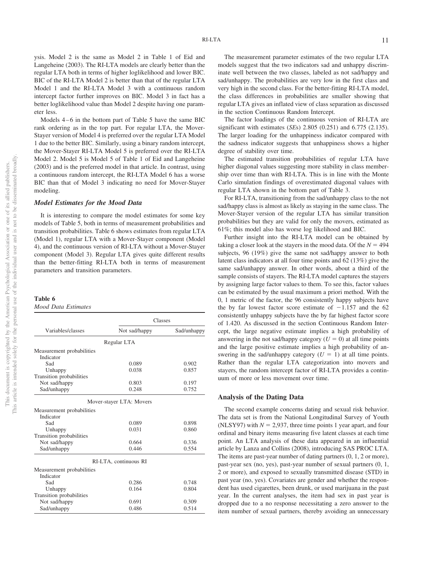ysis. Model 2 is the same as Model 2 in Table 1 of Eid and Langeheine (2003). The RI-LTA models are clearly better than the regular LTA both in terms of higher loglikelihood and lower BIC. BIC of the RI-LTA Model 2 is better than that of the regular LTA Model 1 and the RI-LTA Model 3 with a continuous random intercept factor further improves on BIC. Model 3 in fact has a better loglikelihood value than Model 2 despite having one parameter less.

Models 4–6 in the bottom part of Table 5 have the same BIC rank ordering as in the top part. For regular LTA, the Mover-Stayer version of Model 4 is preferred over the regular LTA Model 1 due to the better BIC. Similarly, using a binary random intercept, the Mover-Stayer RI-LTA Model 5 is preferred over the RI-LTA Model 2. Model 5 is Model 5 of Table 1 of Eid and Langeheine (2003) and is the preferred model in that article. In contrast, using a continuous random intercept, the RI-LTA Model 6 has a worse BIC than that of Model 3 indicating no need for Mover-Stayer modeling.

#### *Model Estimates for the Mood Data*

It is interesting to compare the model estimates for some key models of Table 5, both in terms of measurement probabilities and transition probabilities. Table 6 shows estimates from regular LTA (Model 1), regular LTA with a Mover-Stayer component (Model 4), and the continuous version of RI-LTA without a Mover-Stayer component (Model 3). Regular LTA gives quite different results than the better-fitting RI-LTA both in terms of measurement parameters and transition parameters.

#### **Table 6** *Mood Data Estimates*

|  | тооа раш емтанег |  |
|--|------------------|--|
|  |                  |  |

|                           | Classes                  |             |  |
|---------------------------|--------------------------|-------------|--|
| Variables/classes         | Not sad/happy            | Sad/unhappy |  |
|                           | Regular LTA              |             |  |
| Measurement probabilities |                          |             |  |
| Indicator                 |                          |             |  |
| Sad                       | 0.089                    | 0.902       |  |
| Unhappy                   | 0.038                    | 0.857       |  |
| Transition probabilities  |                          |             |  |
| Not sad/happy             | 0.803                    | 0.197       |  |
| Sad/unhappy               | 0.248                    | 0.752       |  |
|                           | Mover-stayer LTA: Movers |             |  |
| Measurement probabilities |                          |             |  |
| Indicator                 |                          |             |  |
| Sad                       | 0.089                    | 0.898       |  |
| Unhappy                   | 0.031                    | 0.860       |  |
| Transition probabilities  |                          |             |  |
| Not sad/happy             | 0.664                    | 0.336       |  |
| Sad/unhappy               | 0.446                    | 0.554       |  |
|                           | RI-LTA, continuous RI    |             |  |
| Measurement probabilities |                          |             |  |
| Indicator                 |                          |             |  |
| Sad                       | 0.286                    | 0.748       |  |
| Unhappy                   | 0.164                    | 0.804       |  |
| Transition probabilities  |                          |             |  |
| Not sad/happy             | 0.691                    | 0.309       |  |
| Sad/unhappy               | 0.486                    | 0.514       |  |

The measurement parameter estimates of the two regular LTA models suggest that the two indicators sad and unhappy discriminate well between the two classes, labeled as not sad/happy and sad/unhappy. The probabilities are very low in the first class and very high in the second class. For the better-fitting RI-LTA model, the class differences in probabilities are smaller showing that regular LTA gives an inflated view of class separation as discussed in the section Continuous Random Intercept.

The factor loadings of the continuous version of RI-LTA are significant with estimates (*SE*s) 2.805 (0.251) and 6.775 (2.135). The larger loading for the unhappiness indicator compared with the sadness indicator suggests that unhappiness shows a higher degree of stability over time.

The estimated transition probabilities of regular LTA have higher diagonal values suggesting more stability in class membership over time than with RI-LTA. This is in line with the Monte Carlo simulation findings of overestimated diagonal values with regular LTA shown in the bottom part of Table 3.

For RI-LTA, transitioning from the sad/unhappy class to the not sad/happy class is almost as likely as staying in the same class. The Mover-Stayer version of the regular LTA has similar transition probabilities but they are valid for only the movers, estimated as 61%; this model also has worse log likelihood and BIC.

Further insight into the RI-LTA model can be obtained by taking a closer look at the stayers in the mood data. Of the  $N = 494$ subjects, 96 (19%) give the same not sad/happy answer to both latent class indicators at all four time points and 62 (13%) give the same sad/unhappy answer. In other words, about a third of the sample consists of stayers. The RI-LTA model captures the stayers by assigning large factor values to them. To see this, factor values can be estimated by the usual maximum a priori method. With the 0, 1 metric of the factor, the 96 consistently happy subjects have the by far lowest factor score estimate of  $-1.157$  and the 62 consistently unhappy subjects have the by far highest factor score of 1.420. As discussed in the section Continuous Random Intercept, the large negative estimate implies a high probability of answering in the not sad/happy category  $(U = 0)$  at all time points and the large positive estimate implies a high probability of answering in the sad/unhappy category  $(U = 1)$  at all time points. Rather than the regular LTA categorization into movers and stayers, the random intercept factor of RI-LTA provides a continuum of more or less movement over time.

#### **Analysis of the Dating Data**

The second example concerns dating and sexual risk behavior. The data set is from the National Longitudinal Survey of Youth (NLSY97) with  $N = 2.937$ , three time points 1 year apart, and four ordinal and binary items measuring five latent classes at each time point. An LTA analysis of these data appeared in an influential article by Lanza and Collins (2008), introducing SAS PROC LTA. The items are past-year number of dating partners (0, 1, 2 or more), past-year sex (no, yes), past-year number of sexual partners (0, 1, 2 or more), and exposed to sexually transmitted disease (STD) in past year (no, yes). Covariates are gender and whether the respondent has used cigarettes, been drunk, or used marijuana in the past year. In the current analyses, the item had sex in past year is dropped due to a no response necessitating a zero answer to the item number of sexual partners, thereby avoiding an unnecessary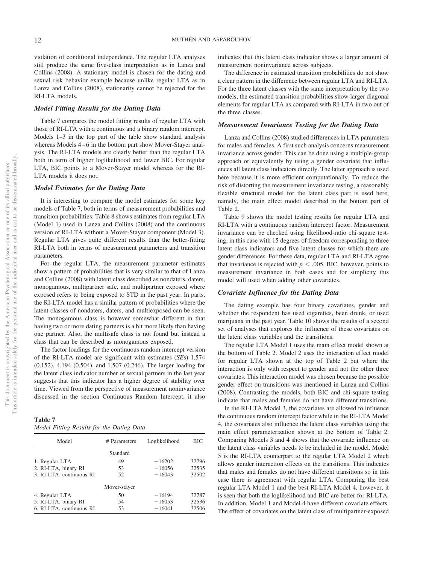violation of conditional independence. The regular LTA analyses still produce the same five-class interpretation as in Lanza and Collins (2008). A stationary model is chosen for the dating and sexual risk behavior example because unlike regular LTA as in Lanza and Collins (2008), stationarity cannot be rejected for the RI-LTA models.

# *Model Fitting Results for the Dating Data*

Table 7 compares the model fitting results of regular LTA with those of RI-LTA with a continuous and a binary random intercept. Models 1–3 in the top part of the table show standard analysis whereas Models 4–6 in the bottom part show Mover-Stayer analysis. The RI-LTA models are clearly better than the regular LTA both in term of higher loglikelihood and lower BIC. For regular LTA, BIC points to a Mover-Stayer model whereas for the RI-LTA models it does not.

# *Model Estimates for the Dating Data*

It is interesting to compare the model estimates for some key models of Table 7, both in terms of measurement probabilities and transition probabilities. Table 8 shows estimates from regular LTA (Model 1) used in Lanza and Collins (2008) and the continuous version of RI-LTA without a Mover-Stayer component (Model 3). Regular LTA gives quite different results than the better-fitting RI-LTA both in terms of measurement parameters and transition parameters.

For the regular LTA, the measurement parameter estimates show a pattern of probabilities that is very similar to that of Lanza and Collins (2008) with latent class described as nondaters, daters, monogamous, multipartner safe, and multipartner exposed where exposed refers to being exposed to STD in the past year. In parts, the RI-LTA model has a similar pattern of probabilities where the latent classes of nondaters, daters, and multiexposed can be seen. The monogamous class is however somewhat different in that having two or more dating partners is a bit more likely than having one partner. Also, the multisafe class is not found but instead a class that can be described as monogamous exposed.

The factor loadings for the continuous random intercept version of the RI-LTA model are significant with estimates (*SE*s) 1.574 (0.152), 4.194 (0.504), and 1.507 (0.246). The larger loading for the latent class indicator number of sexual partners in the last year suggests that this indicator has a higher degree of stability over time. Viewed from the perspective of measurement noninvariance discussed in the section Continuous Random Intercept, it also

# **Table 7** *Model Fitting Results for the Dating Data*

| Model                    | # Parameters | Loglikelihood | ВIС   |
|--------------------------|--------------|---------------|-------|
|                          | Standard     |               |       |
| 1. Regular LTA           | 49           | $-16202$      | 32796 |
| 2. RI-LTA, binary RI     | 53           | $-16056$      | 32535 |
| 3. RI-LTA, continuous RI | 52           | $-16043$      | 32502 |
|                          | Mover-stayer |               |       |
| 4. Regular LTA           | 50           | $-16194$      | 32787 |
| 5. RI-LTA, binary RI     | 54           | $-16053$      | 32536 |
| 6. RI-LTA, continuous RI | 53           | $-16041$      | 32506 |

indicates that this latent class indicator shows a larger amount of measurement noninvariance across subjects.

The difference in estimated transition probabilities do not show a clear pattern in the difference between regular LTA and RI-LTA. For the three latent classes with the same interpretation by the two models, the estimated transition probabilities show larger diagonal elements for regular LTA as compared with RI-LTA in two out of the three classes.

# *Measurement Invariance Testing for the Dating Data*

Lanza and Collins (2008) studied differences in LTA parameters for males and females. A first such analysis concerns measurement invariance across gender. This can be done using a multiple-group approach or equivalently by using a gender covariate that influences all latent class indicators directly. The latter approach is used here because it is more efficient computationally. To reduce the risk of distorting the measurement invariance testing, a reasonably flexible structural model for the latent class part is used here, namely, the main effect model described in the bottom part of Table 2.

[Table 9](#page-13-0) shows the model testing results for regular LTA and RI-LTA with a continuous random intercept factor. Measurement invariance can be checked using likelihood-ratio chi-square testing, in this case with 15 degrees of freedom corresponding to three latent class indicators and five latent classes for which there are gender differences. For these data, regular LTA and RI-LTA agree that invariance is rejected with  $p < .005$ . BIC, however, points to measurement invariance in both cases and for simplicity this model will used when adding other covariates.

# *Covariate Influence for the Dating Data*

The dating example has four binary covariates, gender and whether the respondent has used cigarettes, been drunk, or used marijuana in the past year. Table 10 shows the results of a second set of analyses that explores the influence of these covariates on the latent class variables and the transitions.

The regular LTA Model 1 uses the main effect model shown at the bottom of Table 2. Model 2 uses the interaction effect model for regular LTA shown at the top of Table 2 but where the interaction is only with respect to gender and not the other three covariates. This interaction model was chosen because the possible gender effect on transitions was mentioned in Lanza and Collins (2008). Contrasting the models, both BIC and chi-square testing indicate that males and females do not have different transitions.

In the RI-LTA Model 3, the covariates are allowed to influence the continuous random intercept factor while in the RI-LTA Model 4, the covariates also influence the latent class variables using the main effect parameterization shown at the bottom of Table 2. Comparing Models 3 and 4 shows that the covariate influence on the latent class variables needs to be included in the model. Model 5 is the RI-LTA counterpart to the regular LTA Model 2 which allows gender interaction effects on the transitions. This indicates that males and females do not have different transitions so in this case there is agreement with regular LTA. Comparing the best regular LTA Model 1 and the best RI-LTA Model 4, however, it is seen that both the loglikelihood and BIC are better for RI-LTA. In addition, Model 1 and Model 4 have different covariate effects. The effect of covariates on the latent class of multipartner-exposed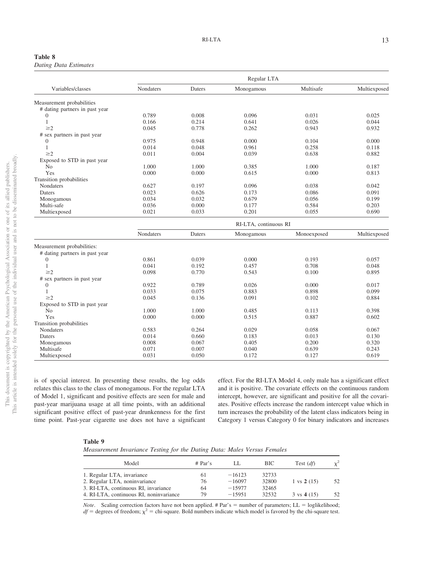| Table 8                      |  |
|------------------------------|--|
| <b>Dating Data Estimates</b> |  |

|                                | Regular LTA           |        |            |             |              |  |
|--------------------------------|-----------------------|--------|------------|-------------|--------------|--|
| Variables/classes              | Nondaters             | Daters | Monogamous | Multisafe   | Multiexposed |  |
| Measurement probabilities      |                       |        |            |             |              |  |
| # dating partners in past year |                       |        |            |             |              |  |
| $\theta$                       | 0.789                 | 0.008  | 0.096      | 0.031       | 0.025        |  |
| 1                              | 0.166                 | 0.214  | 0.641      | 0.026       | 0.044        |  |
| $\geq$ 2                       | 0.045                 | 0.778  | 0.262      | 0.943       | 0.932        |  |
| # sex partners in past year    |                       |        |            |             |              |  |
| $\Omega$                       | 0.975                 | 0.948  | 0.000      | 0.104       | 0.000        |  |
| 1                              | 0.014                 | 0.048  | 0.961      | 0.258       | 0.118        |  |
| $\geq$ 2                       | 0.011                 | 0.004  | 0.039      | 0.638       | 0.882        |  |
| Exposed to STD in past year    |                       |        |            |             |              |  |
| N <sub>0</sub>                 | 1.000                 | 1.000  | 0.385      | 1.000       | 0.187        |  |
| Yes                            | 0.000                 | 0.000  | 0.615      | 0.000       | 0.813        |  |
| Transition probabilities       |                       |        |            |             |              |  |
| Nondaters                      | 0.627                 | 0.197  | 0.096      | 0.038       | 0.042        |  |
| Daters                         | 0.023                 | 0.626  | 0.173      | 0.086       | 0.091        |  |
| Monogamous                     | 0.034                 | 0.032  | 0.679      | 0.056       | 0.199        |  |
| Multi-safe                     | 0.036                 | 0.000  | 0.177      | 0.584       | 0.203        |  |
| Multiexposed                   | 0.021                 | 0.033  | 0.201      | 0.055       | 0.690        |  |
|                                | RI-LTA, continuous RI |        |            |             |              |  |
|                                | Nondaters             | Daters | Monogamous | Monoexposed | Multiexposed |  |
| Measurement probabilities:     |                       |        |            |             |              |  |
| # dating partners in past year |                       |        |            |             |              |  |
| $\boldsymbol{0}$               | 0.861                 | 0.039  | 0.000      | 0.193       | 0.057        |  |
| 1                              | 0.041                 | 0.192  | 0.457      | 0.708       | 0.048        |  |
| $\geq$ 2                       | 0.098                 | 0.770  | 0.543      | 0.100       | 0.895        |  |
| # sex partners in past year    |                       |        |            |             |              |  |
| $\boldsymbol{0}$               | 0.922                 | 0.789  | 0.026      | 0.000       | 0.017        |  |
|                                | 0.033                 | 0.075  | 0.883      | 0.898       | 0.099        |  |
| $\geq$ 2                       | 0.045                 | 0.136  | 0.091      | 0.102       | 0.884        |  |
| Exposed to STD in past year    |                       |        |            |             |              |  |
| N <sub>0</sub>                 | 1.000                 | 1.000  | 0.485      | 0.113       | 0.398        |  |
| Yes                            | 0.000                 | 0.000  | 0.515      | 0.887       | 0.602        |  |
| Transition probabilities       |                       |        |            |             |              |  |
| <b>Nondaters</b>               | 0.583                 | 0.264  | 0.029      | 0.058       | 0.067        |  |
| Daters                         | 0.014                 | 0.660  | 0.183      | 0.013       | 0.130        |  |
| Monogamous                     | 0.008                 | 0.067  | 0.405      | 0.200       | 0.320        |  |
| Multisafe                      | 0.071                 | 0.007  | 0.040      | 0.639       | 0.243        |  |
| Multiexposed                   | 0.031                 | 0.050  | 0.172      | 0.127       | 0.619        |  |

is of special interest. In presenting these results, the log odds relates this class to the class of monogamous. For the regular LTA of Model 1, significant and positive effects are seen for male and past-year marijuana usage at all time points, with an additional significant positive effect of past-year drunkenness for the first time point. Past-year cigarette use does not have a significant effect. For the RI-LTA Model 4, only male has a significant effect and it is positive. The covariate effects on the continuous random intercept, however, are significant and positive for all the covariates. Positive effects increase the random intercept value which in turn increases the probability of the latent class indicators being in Category 1 versus Category 0 for binary indicators and increases

#### <span id="page-13-0"></span>**Table 9**

| Measurement Invariance Testing for the Dating Data: Males Versus Females |  |  |  |  |
|--------------------------------------------------------------------------|--|--|--|--|
|--------------------------------------------------------------------------|--|--|--|--|

| Model                                   | # Par's | LL.      | BIC.  | Test $(df)$           |    |
|-----------------------------------------|---------|----------|-------|-----------------------|----|
| 1. Regular LTA, invariance              | 61      | $-16123$ | 32733 |                       |    |
| 2. Regular LTA, noninvariance           | 76      | $-16097$ | 32800 | $1 \text{ vs } 2(15)$ | 52 |
| 3. RI-LTA, continuous RI, invariance    | 64      | $-15977$ | 32465 |                       |    |
| 4. RI-LTA, continuous RI, noninvariance | 79      | $-15951$ | 32532 | $3 \text{ vs } 4(15)$ | 52 |

*Note.* Scaling correction factors have not been applied. # Par's = number of parameters; LL = loglikelihood;  $df =$  degrees of freedom;  $\chi^2 =$  chi-square. Bold numbers indicate which model is favored by the chi-square test.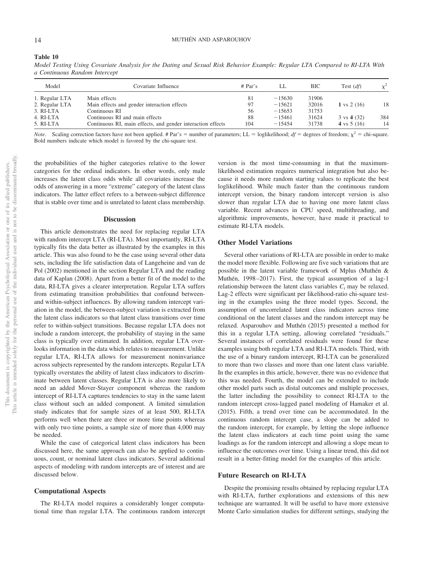# 14 MUTHÉN AND ASPAROUHOV

#### **Table 10**

*Model Testing Using Covariate Analysis for the Dating and Sexual Risk Behavior Example: Regular LTA Compared to RI-LTA With a Continuous Random Intercept*

| Model          | Covariate Influence                                         | # Par's | LL.      | BIC   | Test $(df)$                    | $\chi^2$ |
|----------------|-------------------------------------------------------------|---------|----------|-------|--------------------------------|----------|
| 1. Regular LTA | Main effects                                                | 81      | $-15630$ | 31906 |                                |          |
| 2. Regular LTA | Main effects and gender interaction effects                 | 97      | $-15621$ | 32016 | 1 vs $2(16)$                   | 18       |
| 3. RI-LTA      | Continuous RI                                               | 56      | $-15653$ | 31753 |                                |          |
| 4. RI-LTA      | Continuous RI and main effects                              | 88      | $-15461$ | 31624 | $3 \text{ vs } 4 \text{ (32)}$ | 384      |
| 5. RI-LTA      | Continuous RI, main effects, and gender interaction effects | 104     | $-15454$ | 31738 | 4 vs $5(16)$                   | 14       |

*Note*. Scaling correction factors have not been applied. # Par's = number of parameters; LL = loglikelihood;  $df =$  degrees of freedom;  $\chi^2 =$  chi-square. Bold numbers indicate which model is favored by the chi-square test.

the probabilities of the higher categories relative to the lower categories for the ordinal indicators. In other words, only male increases the latent class odds while all covariates increase the odds of answering in a more "extreme" category of the latent class indicators. The latter effect refers to a between-subject difference that is stable over time and is unrelated to latent class membership.

#### **Discussion**

This article demonstrates the need for replacing regular LTA with random intercept LTA (RI-LTA). Most importantly, RI-LTA typically fits the data better as illustrated by the examples in this article. This was also found to be the case using several other data sets, including the life satisfaction data of Langeheine and van de Pol (2002) mentioned in the section Regular LTA and the reading data of Kaplan (2008). Apart from a better fit of the model to the data, RI-LTA gives a clearer interpretation. Regular LTA suffers from estimating transition probabilities that confound betweenand within-subject influences. By allowing random intercept variation in the model, the between-subject variation is extracted from the latent class indicators so that latent class transitions over time refer to within-subject transitions. Because regular LTA does not include a random intercept, the probability of staying in the same class is typically over estimated. In addition, regular LTA overlooks information in the data which relates to measurement. Unlike regular LTA, RI-LTA allows for measurement noninvariance across subjects represented by the random intercepts. Regular LTA typically overstates the ability of latent class indicators to discriminate between latent classes. Regular LTA is also more likely to need an added Mover-Stayer component whereas the random intercept of RI-LTA captures tendencies to stay in the same latent class without such an added component. A limited simulation study indicates that for sample sizes of at least 500, RI-LTA performs well when there are three or more time points whereas with only two time points, a sample size of more than 4,000 may be needed.

While the case of categorical latent class indicators has been discussed here, the same approach can also be applied to continuous, count, or nominal latent class indicators. Several additional aspects of modeling with random intercepts are of interest and are discussed below.

# **Computational Aspects**

The RI-LTA model requires a considerably longer computational time than regular LTA. The continuous random intercept

version is the most time-consuming in that the maximumlikelihood estimation requires numerical integration but also because it needs more random starting values to replicate the best loglikelihood. While much faster than the continuous random intercept version, the binary random intercept version is also slower than regular LTA due to having one more latent class variable. Recent advances in CPU speed, multithreading, and algorithmic improvements, however, have made it practical to estimate RI-LTA models.

#### **Other Model Variations**

Several other variations of RI-LTA are possible in order to make the model more flexible. Following are five such variations that are possible in the latent variable framework of Mplus (Muthén & Muthén, 1998–2017). First, the typical assumption of a lag-1 relationship between the latent class variables  $C<sub>t</sub>$  may be relaxed. Lag-2 effects were significant per likelihood-ratio chi-square testing in the examples using the three model types. Second, the assumption of uncorrelated latent class indicators across time conditional on the latent classes and the random intercept may be relaxed. Asparouhov and Muthén (2015) presented a method for this in a regular LTA setting, allowing correlated "residuals." Several instances of correlated residuals were found for these examples using both regular LTA and RI-LTA models. Third, with the use of a binary random intercept, RI-LTA can be generalized to more than two classes and more than one latent class variable. In the examples in this article, however, there was no evidence that this was needed. Fourth, the model can be extended to include other model parts such as distal outcomes and multiple processes, the latter including the possibility to connect RI-LTA to the random intercept cross-lagged panel modeling of Hamaker et al. (2015). Fifth, a trend over time can be accommodated. In the continuous random intercept case, a slope can be added to the random intercept, for example, by letting the slope influence the latent class indicators at each time point using the same loadings as for the random intercept and allowing a slope mean to influence the outcomes over time. Using a linear trend, this did not result in a better-fitting model for the examples of this article.

#### **Future Research on RI-LTA**

Despite the promising results obtained by replacing regular LTA with RI-LTA, further explorations and extensions of this new technique are warranted. It will be useful to have more extensive Monte Carlo simulation studies for different settings, studying the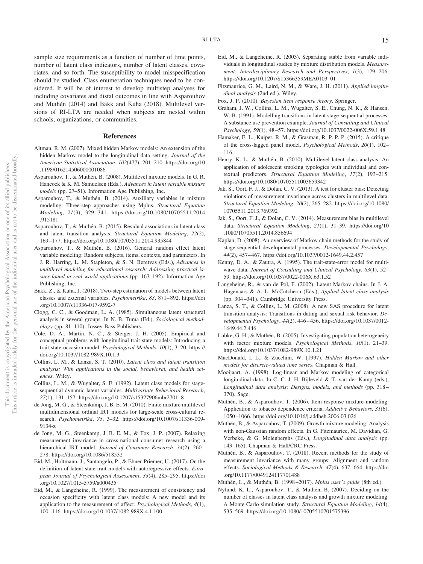sample size requirements as a function of number of time points, number of latent class indicators, number of latent classes, covariates, and so forth. The susceptibility to model misspecification should be studied. Class enumeration techniques need to be considered. It will be of interest to develop multistep analyses for including covariates and distal outcomes in line with Asparouhov and Muthén (2014) and Bakk and Kuha (2018). Multilevel versions of RI-LTA are needed when subjects are nested within schools, organizations, or communities.

#### **References**

- Altman, R. M. (2007). Mixed hidden Markov models: An extension of the hidden Markov model to the longitudinal data setting. *Journal of the American Statistical Association*, *102*(477), 201–210. [https://doi.org/10](https://doi.org/10.1198/016214506000001086) [.1198/016214506000001086](https://doi.org/10.1198/016214506000001086)
- Asparouhov, T., & Muthén, B. (2008). Multilevel mixture models. In G. R. Hancock & K. M. Samuelsen (Eds.), *Advances in latent variable mixture models* (pp. 27–51). Information Age Publishing, Inc.
- Asparouhov, T., & Muthén, B. (2014). Auxiliary variables in mixture modeling: Three-step approaches using Mplus. *Structural Equation Modeling*, *21*(3), 329–341. [https://doi.org/10.1080/10705511.2014](https://doi.org/10.1080/10705511.2014.915181) [.915181](https://doi.org/10.1080/10705511.2014.915181)
- Asparouhov, T., & Muthén, B. (2015). Residual associations in latent class and latent transition analysis. *Structural Equation Modeling*, *22*(2), 169–177.<https://doi.org/10.1080/10705511.2014.935844>
- Asparouhov, T., & Muthén, B. (2016). General random effect latent variable modeling: Random subjects, items, contexts, and parameters. In J. R. Harring, L. M. Stapleton, & S. N. Beretvas (Eds.), *Advances in multilevel modeling for educational research: Addressing practical issues found in real world applications* (pp. 163–192). Information Age Publishing, Inc.
- Bakk, Z., & Kuha, J. (2018). Two-step estimation of models between latent classes and external variables. *Psychometrika*, *83*, 871–892. [https://doi](https://doi.org/10.1007/s11336-017-9592-7) [.org/10.1007/s11336-017-9592-7](https://doi.org/10.1007/s11336-017-9592-7)
- Clogg, C. C., & Goodman, L. A. (1985). Simultaneous latent structural analysis in several groups. In N. B. Tuma (Ed.), *Sociological methodology* (pp. 81–110). Jossey-Bass Publishers.
- Cole, D. A., Martin. N. C., & Steiger, J. H. (2005). Empirical and conceptual problems with longitudinal trait-state models: Introducing a trait-state-occasion model. *Psychological Methods*, *10*(1), 3–20. [https://](https://doi.org/10.1037/1082-989X.10.1.3) [doi.org/10.1037/1082-989X.10.1.3](https://doi.org/10.1037/1082-989X.10.1.3)
- Collins, L. M., & Lanza, S. T. (2010). *Latent class and latent transition analysis: With applications in the social, behavioral, and health sciences*. Wiley.
- Collins, L. M., & Wugalter, S. E. (1992). Latent class models for stagesequential dynamic latent variables. *Multivariate Behavioral Research*, *27*(1), 131–157. [https://doi.org/10.1207/s15327906mbr2701\\_8](https://doi.org/10.1207/s15327906mbr2701_8)
- de Jong, M. G., & Steenkamp, J. B. E. M. (2010). Finite mixture multilevel multidimensional ordinal IRT models for large-scale cross-cultural research. *Psychometrika*, *75*, 3–32. [https://doi.org/10.1007/s11336-009-](https://doi.org/10.1007/s11336-009-9134-z) [9134-z](https://doi.org/10.1007/s11336-009-9134-z)
- de Jong, M. G., Steenkamp, J. B. E. M., & Fox, J. P. (2007). Relaxing measurement invariance in cross-national consumer research using a hierarchical IRT model. *Journal of Consumer Research*, *34*(2), 260– 278.<https://doi.org/10.1086/518532>
- Eid, M., Holtmann, J., Santangelo, P., & Ebner-Priemer, U. (2017). On the definition of latent-state-trait models with autoregressive effects. *European Journal of Psychological Assessment*, *33*(4), 285–295. [https://doi](https://doi.org/10.1027/1015-5759/a000435) [.org/10.1027/1015-5759/a000435](https://doi.org/10.1027/1015-5759/a000435)
- Eid, M., & Langeheine, R. (1999). The measurement of consistency and occasion specificity with latent class models: A new model and its application to the measurement of affect. *Psychological Methods*, *4*(1), 100–116.<https://doi.org/10.1037/1082-989X.4.1.100>
- Eid, M., & Langeheine, R. (2003). Separating stable from variable individuals in longitudinal studies by mixture distribution models. *Measurement: Interdisciplinary Research and Perspectives*, *1*(3), 179–206. [https://doi.org/10.1207/S15366359MEA0103\\_01](https://doi.org/10.1207/S15366359MEA0103_01)
- Fitzmaurice, G. M., Laird, N. M., & Ware, J. H. (2011). *Applied longitudinal analysis* (2nd ed.). Wiley.
- Fox, J. P. (2010). *Bayesian item response theory*. Springer.
- Graham, J. W., Collins, L. M., Wugalter, S. E., Chung, N. K., & Hansen, W. B. (1991). Modelling transitions in latent stage-sequential processes: A substance use prevention example. *Journal of Consulting and Clinical Psychology*, *59*(1), 48–57.<https://doi.org/10.1037/0022-006X.59.1.48>
- Hamaker, E. L., Kuiper, R. M., & Grasman, R. P. P. P. (2015). A critique of the cross-lagged panel model. *Psychological Methods*, *20*(1), 102– 116.
- Henry, K. L., & Muthén, B. (2010). Multilevel latent class analysis: An application of adolescent smoking typologies with individual and contextual predictors. *Structural Equation Modeling*, *17*(2), 193–215. <https://doi.org/10.1080/10705511003659342>
- Jak, S., Oort, F. J., & Dolan, C. V. (2013). A test for cluster bias: Detecting violations of measurement invariance across clusters in multilevel data. *Structural Equation Modeling*, *20*(2), 265–282. [https://doi.org/10.1080/](https://doi.org/10.1080/10705511.2013.769392) [10705511.2013.769392](https://doi.org/10.1080/10705511.2013.769392)
- Jak, S., Oort, F. J., & Dolan, C. V. (2014). Measurement bias in multilevel data. *Structural Equation Modeling*, *21*(1), 31–39. [https://doi.org/10](https://doi.org/10.1080/10705511.2014.856694) [.1080/10705511.2014.856694](https://doi.org/10.1080/10705511.2014.856694)
- Kaplan, D. (2008). An overview of Markov chain methods for the study of stage-sequential developmental processes. *Developmental Psychology*, *44*(2), 457–467.<https://doi.org/10.1037/0012-1649.44.2.457>
- Kenny, D. A., & Zautra, A. (1995). The trait-state-error model for multiwave data. *Journal of Consulting and Clinical Psychology*, *63*(1), 52– 59.<https://doi.org/10.1037/0022-006X.63.1.52>
- Langeheine, R., & van de Pol, F. (2002). Latent Markov chains. In J. A. Hagenaars & A. L. McCutcheon (Eds.), *Applied latent class analysis* (pp. 304–341). Cambridge University Press.
- Lanza, S. T., & Collins, L. M. (2008). A new SAS procedure for latent transition analysis: Transitions in dating and sexual risk behavior. *Developmental Psychology*, *44*(2), 446–456. [https://doi.org/10.1037/0012-](https://doi.org/10.1037/0012-1649.44.2.446) [1649.44.2.446](https://doi.org/10.1037/0012-1649.44.2.446)
- Lubke, G. H., & Muthén, B. (2005). Investigating population heterogeneity with factor mixture models. *Psychological Methods*, *10*(1), 21–39. <https://doi.org/10.1037/1082-989X.10.1.21>
- MacDonald, I. L., & Zucchini, W. (1997). *Hidden Markov and other models for discrete-valued time series*. Chapman & Hall.
- Mooijaart, A. (1998). Log-linear and Markov modeling of categorical longitudinal data. In C. C. J. H. Bijleveld & T. van der Kamp (eds.), *Longitudinal data analysis: Designs, models, and methods* (pp. 318– 370). Sage.
- Muthén, B., & Asparouhov, T. (2006). Item response mixture modeling: Application to tobacco dependence criteria. *Addictive Behaviors*, *31*(6), 1050–1066.<https://doi.org/10.1016/j.addbeh.2006.03.026>
- Muthén, B., & Asparouhov, T. (2009). Growth mixture modeling: Analysis with non-Gaussian random effects. In G. Fitzmaurice, M. Davidian, G. Verbeke, & G. Molenberghs (Eds.), *Longitudinal data analysis* (pp. 143–165). Chapman & Hall/CRC Press.
- Muthén, B., & Asparouhov, T. (2018). Recent methods for the study of measurement invariance with many groups: Alignment and random effects. *Sociological Methods & Research*, *47*(4), 637–664. [https://doi](https://doi.org/10.1177/0049124117701488) [.org/10.1177/0049124117701488](https://doi.org/10.1177/0049124117701488)
- Muthén, L., & Muthén, B. (1998–2017). *Mplus user's guide* (8th ed.).
- Nylund, K. L., Asparouhov, T., & Muthén, B. (2007). Deciding on the number of classes in latent class analysis and growth mixture modeling: A Monte Carlo simulation study. *Structural Equation Modeling*, *14*(4), 535–569.<https://doi.org/10.1080/10705510701575396>